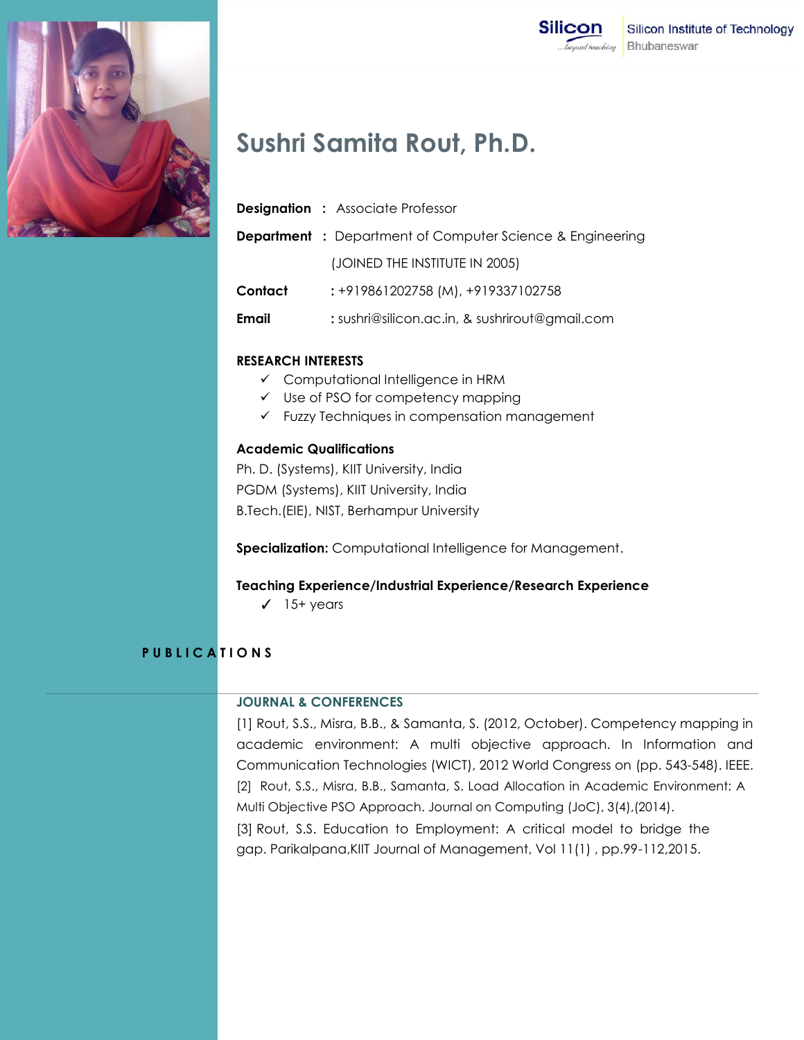

# **Sushri Samita Rout, Ph.D.**

|              | <b>Designation : Associate Professor</b>                         |
|--------------|------------------------------------------------------------------|
|              | <b>Department</b> : Department of Computer Science & Engineering |
|              | (JOINED THE INSTITUTE IN 2005)                                   |
| Contact      | : +919861202758 (M), +919337102758                               |
| <b>Email</b> | : sushri@silicon.ac.in, & sushrirout@gmail.com                   |

#### **RESEARCH INTERESTS**

- $\checkmark$  Computational Intelligence in HRM
- $\checkmark$  Use of PSO for competency mapping
- $\checkmark$  Fuzzy Techniques in compensation management

### **Academic Qualifications**

Ph. D. (Systems), KIIT University, India PGDM (Systems), KIIT University, India B.Tech.(EIE), NIST, Berhampur University

**Specialization:** Computational Intelligence for Management.

#### **Teaching Experience/Industrial Experience/Research Experience**

✓ 15+ years

## **P U B L I C A T I O N S**

#### **JOURNAL & CONFERENCES**

[1] Rout, S.S., Misra, B.B., & Samanta, S. (2012, October). Competency mapping in academic environment: A multi objective approach. In Information and Communication Technologies (WICT), 2012 World Congress on (pp. 543-548). IEEE. [2] Rout, S.S., Misra, B.B., Samanta, S. Load Allocation in Academic Environment: A Multi Objective PSO Approach. Journal on Computing (JoC), 3(4),(2014). [3] Rout, S.S. Education to Employment: A critical model to bridge the gap. Parikalpana,KIIT Journal of Management, Vol 11(1) , pp.99-112,2015.